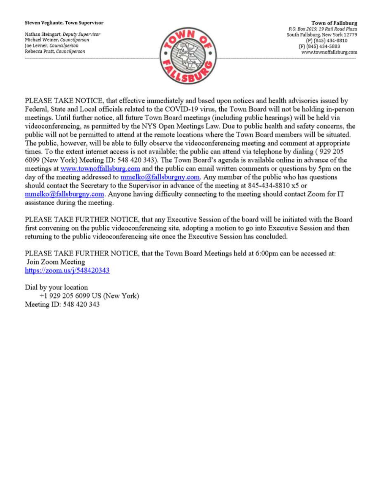#### Steven Vegliante, Town Supervisor

Nathan Steingart, Deputy Supervisor Michael Weiner, Councilperson Joe Levner, Councilperson Rebecca Pratt, Councilperson



**Town of Fallsburg** P.O. Box 2019, 19 Rail Road Plaza South Fallsburg, New York 12779 (P) (845) 434-8810 (F) (845) 434-5883 www.townoffallsburg.com

PLEASE TAKE NOTICE, that effective immediately and based upon notices and health advisories issued by Federal, State and Local officials related to the COVID-19 virus, the Town Board will not be holding in-person meetings. Until further notice, all future Town Board meetings (including public hearings) will be held via videoconferencing, as permitted by the NYS Open Meetings Law. Due to public health and safety concerns, the public will not be permitted to attend at the remote locations where the Town Board members will be situated. The public, however, will be able to fully observe the videoconferencing meeting and comment at appropriate times. To the extent internet access is not available; the public can attend via telephone by dialing (929 205 6099 (New York) Meeting ID: 548 420 343). The Town Board's agenda is available online in advance of the meetings at www.townoffallsburg.com and the public can email written comments or questions by 5pm on the day of the meeting addressed to mmelko@fallsburgny.com. Any member of the public who has questions should contact the Secretary to the Supervisor in advance of the meeting at 845-434-8810 x5 or  $mmelko@fallsburgny.com$ . Anyone having difficulty connecting to the meeting should contact Zoom for IT assistance during the meeting.

PLEASE TAKE FURTHER NOTICE, that any Executive Session of the board will be initiated with the Board first convening on the public videoconferencing site, adopting a motion to go into Executive Session and then returning to the public videoconferencing site once the Executive Session has concluded.

PLEASE TAKE FURTHER NOTICE, that the Town Board Meetings held at 6:00pm can be accessed at: Join Zoom Meeting https://zoom.us/ $j/548420343$ 

Dial by your location +1 929 205 6099 US (New York) Meeting ID: 548 420 343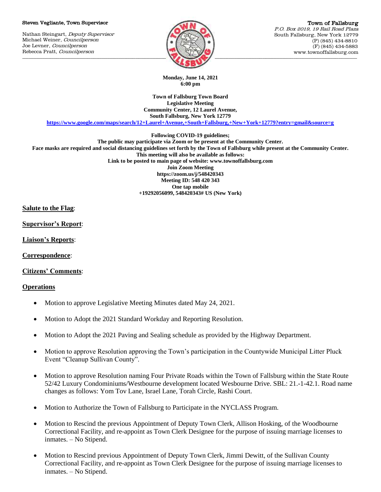#### Steven Vegliante, Town Supervisor

Nathan Steingart, Deputy Supervisor Michael Weiner, Councilperson Joe Levner, Councilperson Rebecca Pratt, Councilperson



Town of Fallsburg P.O. Box 2019, 19 Rail Road Plaza South Fallsburg, New York 12779 (P) (845) 434-8810 (F) (845) 434-5883 www.townoffallsburg.com

**Monday, June 14, 2021 6:00 pm**

**Town of Fallsburg Town Board Legislative Meeting Community Center, 12 Laurel Avenue, South Fallsburg, New York 12779**

**<https://www.google.com/maps/search/12+Laurel+Avenue,+South+Fallsburg,+New+York+12779?entry=gmail&source=g>**

**Following COVID-19 guidelines;**

**The public may participate via Zoom or be present at the Community Center. Face masks are required and social distancing guidelines set forth by the Town of Fallsburg while present at the Community Center. This meeting will also be available as follows: Link to be posted to main page of website: www.townoffallsburg.com Join Zoom Meeting https://zoom.us/j/548420343 Meeting ID: 548 420 343 One tap mobile +19292056099, 548420343# US (New York)**

## **Salute to the Flag**:

**Supervisor's Report**:

**Liaison's Reports**:

**Correspondence**:

**Citizens' Comments**:

### **Operations**

- Motion to approve Legislative Meeting Minutes dated May 24, 2021.
- Motion to Adopt the 2021 Standard Workday and Reporting Resolution.
- Motion to Adopt the 2021 Paving and Sealing schedule as provided by the Highway Department.
- Motion to approve Resolution approving the Town's participation in the Countywide Municipal Litter Pluck Event "Cleanup Sullivan County".
- Motion to approve Resolution naming Four Private Roads within the Town of Fallsburg within the State Route 52/42 Luxury Condominiums/Westbourne development located Wesbourne Drive. SBL: 21.-1-42.1. Road name changes as follows: Yom Tov Lane, Israel Lane, Torah Circle, Rashi Court.
- Motion to Authorize the Town of Fallsburg to Participate in the NYCLASS Program.
- Motion to Rescind the previous Appointment of Deputy Town Clerk, Allison Hosking, of the Woodbourne Correctional Facility, and re-appoint as Town Clerk Designee for the purpose of issuing marriage licenses to inmates. – No Stipend.
- Motion to Rescind previous Appointment of Deputy Town Clerk, Jimmi Dewitt, of the Sullivan County Correctional Facility, and re-appoint as Town Clerk Designee for the purpose of issuing marriage licenses to inmates. – No Stipend.